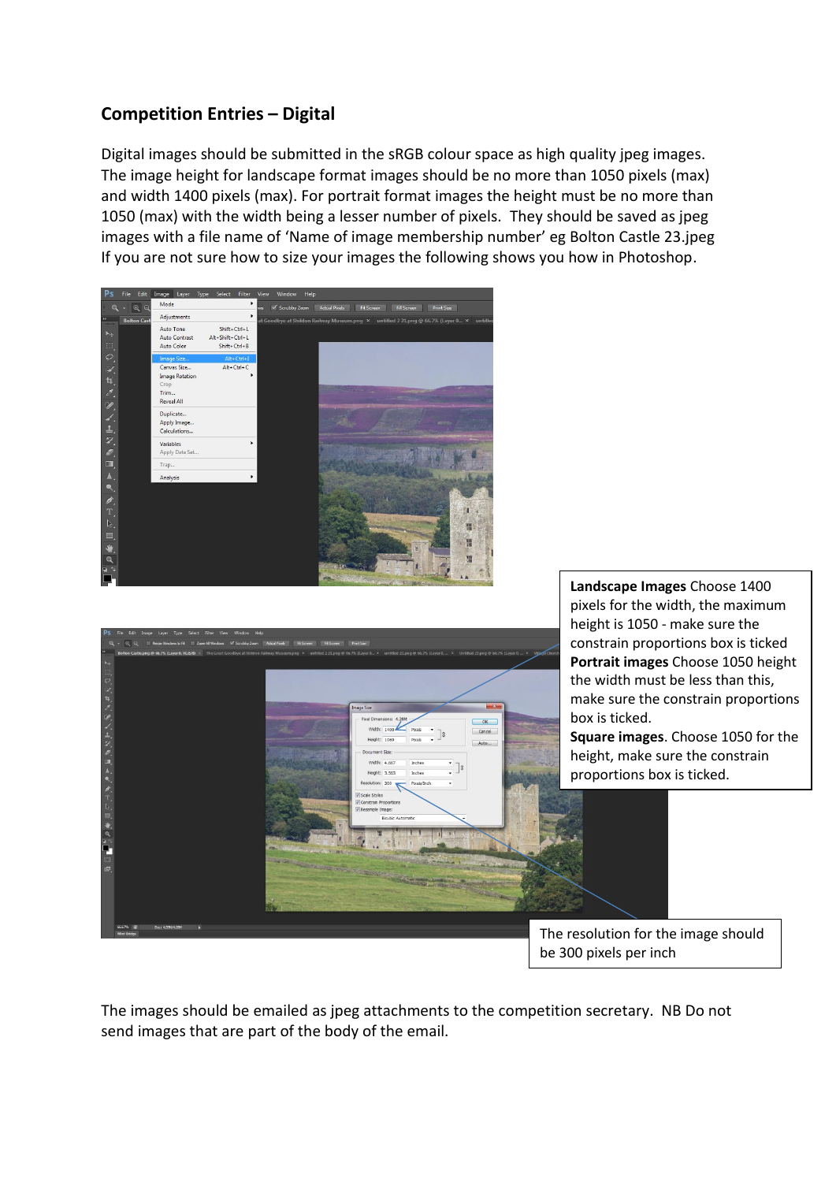## **Competition Entries – Digital**

Digital images should be submitted in the sRGB colour space as high quality jpeg images. The image height for landscape format images should be no more than 1050 pixels (max) and width 1400 pixels (max). For portrait format images the height must be no more than 1050 (max) with the width being a lesser number of pixels. They should be saved as jpeg images with a file name of 'Name of image membership number' eg Bolton Castle 23.jpeg If you are not sure how to size your images the following shows you how in Photoshop.



The images should be emailed as jpeg attachments to the competition secretary. NB Do not send images that are part of the body of the email.